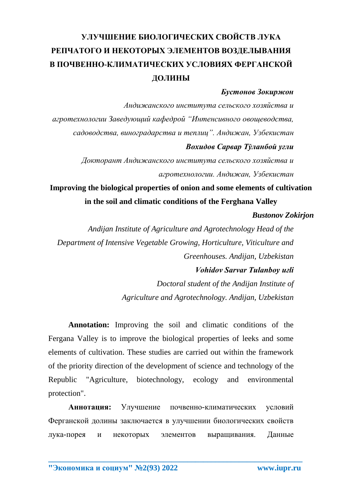# **УЛУЧШЕНИЕ БИОЛОГИЧЕСКИХ СВОЙСТВ ЛУКА РЕПЧАТОГО И НЕКОТОРЫХ ЭЛЕМЕНТОВ ВОЗДЕЛЫВАНИЯ В ПОЧВЕННО-КЛИМАТИЧЕСКИХ УСЛОВИЯХ ФЕРГАНСКОЙ ДОЛИНЫ**

### *Бустонов Зокиржон*

*Андижанского института сельского хозяйства и агротехнологии Заведующий кафедрой "Интенсивного овощеводства, садоводства, виноградарства и теплиц". Андижан, Узбекистан Вохидов Сарвар Тўланбой уғли*

> *Докторант Андижанского института сельского хозяйства и агротехнологии. Андижан, Узбекистан*

## **Improving the biological properties of onion and some elements of cultivation in the soil and climatic conditions of the Ferghana Valley**

#### *Bustonov Zokirjon*

*Andijan Institute of Agriculture and Agrotechnology Head of the Department of Intensive Vegetable Growing, Horticulture, Viticulture and Greenhouses. Andijan, Uzbekistan*

#### *Vohidov Sarvar Tulanboy uғli*

*Doctoral student of the Andijan Institute of Agriculture and Agrotechnology. Andijan, Uzbekistan*

**Annotation:** Improving the soil and climatic conditions of the Fergana Valley is to improve the biological properties of leeks and some elements of cultivation. These studies are carried out within the framework of the priority direction of the development of science and technology of the Republic "Agriculture, biotechnology, ecology and environmental protection".

**Аннотация:** Улучшение почвенно-климатических условий Ферганской долины заключается в улучшении биологических свойств лука-порея и некоторых элементов выращивания. Данные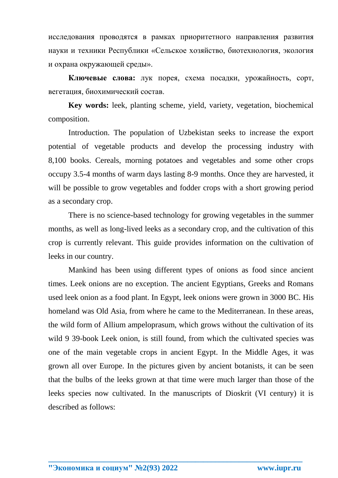исследования проводятся в рамках приоритетного направления развития науки и техники Республики «Сельское хозяйство, биотехнология, экология и охрана окружающей среды».

**Ключевые слова:** лук порея, схема посадки, урожайность, сорт, вегетация, биохимический состав.

**Key words:** leek, planting scheme, yield, variety, vegetation, biochemical composition.

Introduction. The population of Uzbekistan seeks to increase the export potential of vegetable products and develop the processing industry with 8,100 books. Cereals, morning potatoes and vegetables and some other crops occupy 3.5-4 months of warm days lasting 8-9 months. Once they are harvested, it will be possible to grow vegetables and fodder crops with a short growing period as a secondary crop.

There is no science-based technology for growing vegetables in the summer months, as well as long-lived leeks as a secondary crop, and the cultivation of this crop is currently relevant. This guide provides information on the cultivation of leeks in our country.

Mankind has been using different types of onions as food since ancient times. Leek onions are no exception. The ancient Egyptians, Greeks and Romans used leek onion as a food plant. In Egypt, leek onions were grown in 3000 BC. His homeland was Old Asia, from where he came to the Mediterranean. In these areas, the wild form of Allium ampeloprasum, which grows without the cultivation of its wild 9 39-book Leek onion, is still found, from which the cultivated species was one of the main vegetable crops in ancient Egypt. In the Middle Ages, it was grown all over Europe. In the pictures given by ancient botanists, it can be seen that the bulbs of the leeks grown at that time were much larger than those of the leeks species now cultivated. In the manuscripts of Dioskrit (VI century) it is described as follows: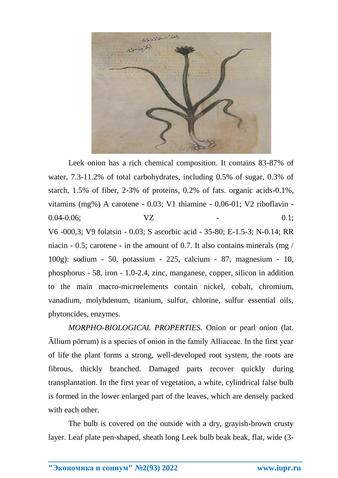

Leek onion has a rich chemical composition. It contains 83-87% of water, 7.3-11.2% of total carbohydrates, including 0.5% of sugar, 0.3% of starch, 1.5% of fiber, 2-3% of proteins, 0.2% of fats. organic acids-0.1%, vitamins (mg%) A carotene - 0.03; V1 thiamine - 0.06-01; V2 riboflavin -  $0.04 - 0.06$ ;  $VZ$  - 0.1; V6 -000,3; V9 folatsin - 0.03; S ascorbic acid - 35-80; E-1.5-3; N-0.14; RR niacin - 0.5; carotene - in the amount of 0.7. It also contains minerals (mg / 100g): sodium - 50, potassium - 225, calcium - 87, magnesium - 10, phosphorus - 58, iron - 1.0-2.4, zinc, manganese, copper, silicon in addition to the main macro-microelements contain nickel, cobalt, chromium, vanadium, molybdenum, titanium, sulfur, chlorine, sulfur essential oils, phytoncides, enzymes.

*MORPHO-BIOLOGICAL PROPERTIES.* Onion or pearl onion (lat. Āllium pōrrum) is a species of onion in the family Alliaceae. In the first year of life the plant forms a strong, well-developed root system, the roots are fibrous, thickly branched. Damaged parts recover quickly during transplantation. In the first year of vegetation, a white, cylindrical false bulb is formed in the lower enlarged part of the leaves, which are densely packed with each other.

The bulb is covered on the outside with a dry, grayish-brown crusty layer. Leaf plate pen-shaped, sheath long Leek bulb beak beak, flat, wide (3-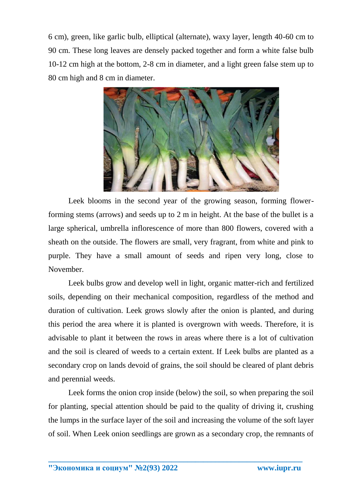6 cm), green, like garlic bulb, elliptical (alternate), waxy layer, length 40-60 cm to 90 cm. These long leaves are densely packed together and form a white false bulb 10-12 cm high at the bottom, 2-8 cm in diameter, and a light green false stem up to 80 cm high and 8 cm in diameter.



Leek blooms in the second year of the growing season, forming flowerforming stems (arrows) and seeds up to 2 m in height. At the base of the bullet is a large spherical, umbrella inflorescence of more than 800 flowers, covered with a sheath on the outside. The flowers are small, very fragrant, from white and pink to purple. They have a small amount of seeds and ripen very long, close to November.

Leek bulbs grow and develop well in light, organic matter-rich and fertilized soils, depending on their mechanical composition, regardless of the method and duration of cultivation. Leek grows slowly after the onion is planted, and during this period the area where it is planted is overgrown with weeds. Therefore, it is advisable to plant it between the rows in areas where there is a lot of cultivation and the soil is cleared of weeds to a certain extent. If Leek bulbs are planted as a secondary crop on lands devoid of grains, the soil should be cleared of plant debris and perennial weeds.

Leek forms the onion crop inside (below) the soil, so when preparing the soil for planting, special attention should be paid to the quality of driving it, crushing the lumps in the surface layer of the soil and increasing the volume of the soft layer of soil. When Leek onion seedlings are grown as a secondary crop, the remnants of